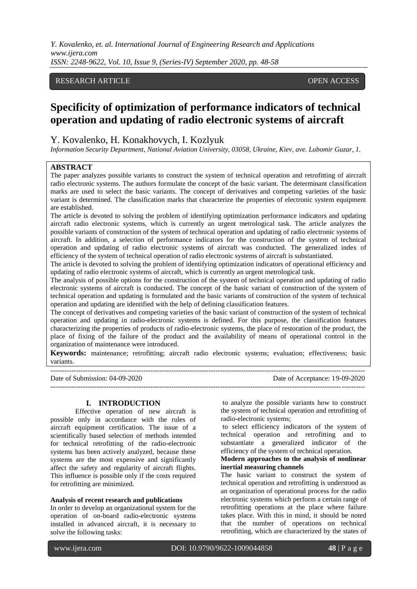*Y. Kovalenko, et. al. International Journal of Engineering Research and Applications www.ijera.com ISSN: 2248-9622, Vol. 10, Issue 9, (Series-IV) September 2020, pp. 48-58*

## RESEARCH ARTICLE OPEN ACCESS

# **Specificity of optimization of performance indicators of technical operation and updating of radio electronic systems of aircraft**

Y. Kovalenko, H. Konakhovych, I. Kozlyuk

*Information Security Department, National Aviation University, 03058, Ukraine, Kiev, ave. Lubomir Guzar, 1.*

## **ABSTRACT**

The paper analyzes possible variants to construct the system of technical operation and retrofitting of aircraft radio electronic systems. The authors formulate the concept of the basic variant. The determinant classification marks are used to select the basic variants. The concept of derivatives and competing varieties of the basic variant is determined. The classification marks that characterize the properties of electronic system equipment are established.

The article is devoted to solving the problem of identifying optimization performance indicators and updating aircraft radio electronic systems, which is currently an urgent metrological task. The article analyzes the possible variants of construction of the system of technical operation and updating of radio electronic systems of aircraft. In addition, a selection of performance indicators for the construction of the system of technical operation and updating of radio electronic systems of aircraft was conducted. The generalized index of efficiency of the system of technical operation of radio electronic systems of aircraft is substantiated.

The article is devoted to solving the problem of identifying optimization indicators of operational efficiency and updating of radio electronic systems of aircraft, which is currently an urgent metrological task.

The analysis of possible options for the construction of the system of technical operation and updating of radio electronic systems of aircraft is conducted. The concept of the basic variant of construction of the system of technical operation and updating is formulated and the basic variants of construction of the system of technical operation and updating are identified with the help of defining classification features.

The concept of derivatives and competing varieties of the basic variant of construction of the system of technical operation and updating in radio-electronic systems is defined. For this purpose, the classification features characterizing the properties of products of radio-electronic systems, the place of restoration of the product, the place of fixing of the failure of the product and the availability of means of operational control in the organization of maintenance were introduced.

**Keywords:** maintenance; retrofitting; aircraft radio electronic systems; evaluation; effectiveness; basic variants.

--------------------------------------------------------------------------------------------------------------------------------------- Date of Submission: 04-09-2020 Date of Acceptance: 19-09-2020 ---------------------------------------------------------------------------------------------------------------------------------------

#### **I. INTRODUCTION**

Effective operation of new aircraft is possible only in accordance with the rules of aircraft equipment certification. The issue of a scientifically based selection of methods intended for technical retrofitting of the radio-electronic systems has been actively analyzed, because these systems are the most expensive and significantly affect the safety and regularity of aircraft flights. This influence is possible only if the costs required for retrofitting are minimized.

### **Analysis of recent research and publications**

In order to develop an organizational system for the operation of on-board radio-electronic systems installed in advanced aircraft, it is necessary to solve the following tasks:

to analyze the possible variants how to construct the system of technical operation and retrofitting of radio-electronic systems;

to select efficiency indicators of the system of technical operation and retrofitting and to substantiate a generalized indicator of the efficiency of the system of technical operation.

#### **Modern approaches to the analysis of nonlinear inertial measuring channels**

The basic variant to construct the system of technical operation and retrofitting is understood as an organization of operational process for the radio electronic systems which perform a certain range of retrofitting operations at the place where failure takes place. With this in mind, it should be noted that the number of operations on technical retrofitting, which are characterized by the states of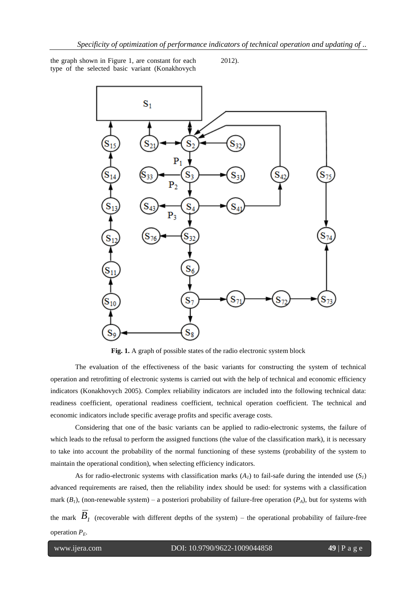the graph shown in Figure 1, are constant for each type of the selected basic variant (Konakhovych

2012).



**Fig. 1.** A graph of possible states of the radio electronic system block

The evaluation of the effectiveness of the basic variants for constructing the system of technical operation and retrofitting of electronic systems is carried out with the help of technical and economic efficiency indicators (Konakhovych 2005). Complex reliability indicators are included into the following technical data: readiness coefficient, operational readiness coefficient, technical operation coefficient. The technical and economic indicators include specific average profits and specific average costs.

Considering that one of the basic variants can be applied to radio-electronic systems, the failure of which leads to the refusal to perform the assigned functions (the value of the classification mark), it is necessary to take into account the probability of the normal functioning of these systems (probability of the system to maintain the operational condition), when selecting efficiency indicators.

As for radio-electronic systems with classification marks  $(A<sub>l</sub>)$  to fail-safe during the intended use  $(S<sub>l</sub>)$ advanced requirements are raised, then the reliability index should be used: for systems with a classification mark  $(B_1)$ , (non-renewable system) – a posteriori probability of failure-free operation  $(P_A)$ , but for systems with the mark  $B_I$  (recoverable with different depths of the system) – the operational probability of failure-free operation  $P<sub>E</sub>$ .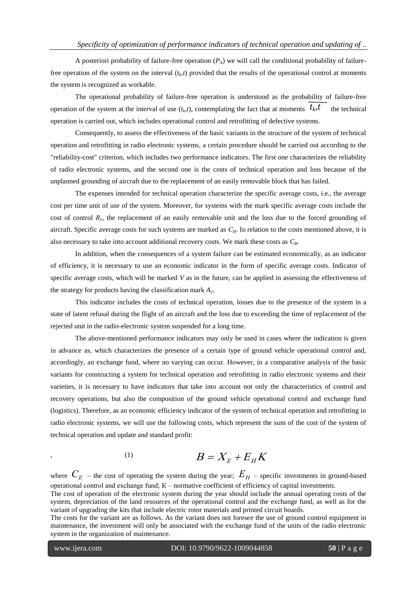A posteriori probability of failure-free operation  $(P_4)$  we will call the conditional probability of failurefree operation of the system on the interval  $(t<sub>k</sub>, t)$  provided that the results of the operational control at moments the system is recognized as workable.

The operational probability of failure-free operation is understood as the probability of failure-free operation of the system at the interval of use  $(t_k, t)$ , contemplating the fact that at moments  $\overline{t_k t}$  the technical operation is carried out, which includes operational control and retrofitting of defective systems.

Consequently, to assess the effectiveness of the basic variants in the structure of the system of technical operation and retrofitting in radio electronic systems, a certain procedure should be carried out according to the "reliability-cost" criterion, which includes two performance indicators. The first one characterizes the reliability of radio electronic systems, and the second one is the costs of technical operation and loss because of the unplanned grounding of aircraft due to the replacement of an easily removable block that has failed.

The expenses intended for technical operation characterize the specific average costs, i.e., the average cost per time unit of use of the system. Moreover, for systems with the mark specific average costs include the cost of control  $B<sub>1</sub>$ , the replacement of an easily removable unit and the loss due to the forced grounding of aircraft. Specific average costs for such systems are marked as *СH*. In relation to the costs mentioned above, it is also necessary to take into account additional recovery costs. We mark these costs as *CB*.

In addition, when the consequences of a system failure can be estimated economically, as an indicator of efficiency, it is necessary to use an economic indicator in the form of specific average costs. Indicator of specific average costs, which will be marked *V* as in the future, can be applied in assessing the effectiveness of the strategy for products having the classification mark *A2*.

This indicator includes the costs of technical operation, losses due to the presence of the system in a state of latent refusal during the flight of an aircraft and the loss due to exceeding the time of replacement of the rejected unit in the radio-electronic system suspended for a long time.

The above-mentioned performance indicators may only be used in cases where the indication is given in advance as, which characterizes the presence of a certain type of ground vehicle operational control and, accordingly, an exchange fund, where no varying can occur. However, in a comparative analysis of the basic variants for constructing a system for technical operation and retrofitting in radio electronic systems and their varieties, it is necessary to have indicators that take into account not only the characteristics of control and recovery operations, but also the composition of the ground vehicle operational control and exchange fund (logistics). Therefore, as an economic efficiency indicator of the system of technical operation and retrofitting in radio electronic systems, we will use the following costs, which represent the sum of the cost of the system of technical operation and update and standard profit:

$$
B = X_E + E_H K
$$

where  $C_E$  – the cost of operating the system during the year;  $E_H$  – specific investments in ground-based operational control and exchange fund; К – normative coefficient of efficiency of capital investments.

The cost of operation of the electronic system during the year should include the annual operating costs of the system, depreciation of the land resources of the operational control and the exchange fund, as well as for the variant of upgrading the kits that include electric rotor materials and printed circuit boards.

The costs for the variant are as follows. As the variant does not foresee the use of ground control equipment in maintenance, the investment will only be associated with the exchange fund of the units of the radio electronic system in the organization of maintenance.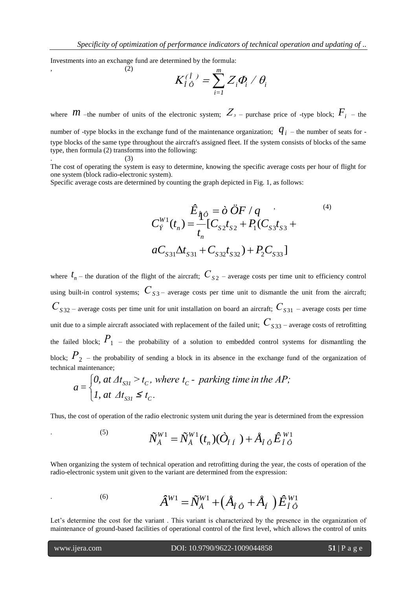Investments into an exchange fund are determined by the formula:

 $,$  (2)

$$
K_{\hat{I}\hat{O}}^{(\hat{I})}=\sum_{i=I}^m Z_i \phi_i / \theta_i
$$

where *M* –the number of units of the electronic system;  $Z_{\rm 3}$  – purchase price of -type block;  $F_{\rm i}$  – the number of -type blocks in the exchange fund of the maintenance organization;  $q_i$  – the number of seats for -

type blocks of the same type throughout the aircraft's assigned fleet. If the system consists of blocks of the same type, then formula (2) transforms into the following:  $\hspace{2.6cm} . \hspace{2.2cm} (3)$ 

The cost of operating the system is easy to determine, knowing the specific average costs per hour of flight for one system (block radio-electronic system).

Specific average costs are determined by counting the graph depicted in Fig. 1, as follows:

$$
\hat{E}_{\hat{\mathbf{q}}\hat{\phi}} = \partial \ddot{O}F / q \qquad (4)
$$
\n
$$
C_{\hat{Y}}^{W1}(t_n) = \frac{1}{t_n} [C_{S2}t_{S2} + P_1(C_{S3}t_{S3} + aC_{S31}\Delta t_{S31} + C_{S32}t_{S32}) + P_2C_{S33}]
$$

where  $t_n$  – the duration of the flight of the aircraft;  $C_{S2}$  – average costs per time unit to efficiency control using built-in control systems;  $C_{S3}$  – average costs per time unit to dismantle the unit from the aircraft; *С<sup>S</sup>* <sup>32</sup> – average costs per time unit for unit installation on board an aircraft; *С<sup>S</sup>* <sup>31</sup> – average costs per time unit due to a simple aircraft associated with replacement of the failed unit;  $C_{S33}$  – average costs of retrofitting the failed block;  $P_{1}$  – the probability of a solution to embedded control systems for dismantling the block;  $P_2$  – the probability of sending a block in its absence in the exchange fund of the organization of technical maintenance;<br>  $q = \begin{cases} 0, at \Delta t_{S31} > t_C, where t_C$  – parking time in the AP;

Section 2. The probability of scaling is shown in the absolute in the change, 
$$
a = \begin{cases} 0, & \text{at } \Delta t_{S31} > t_C, \text{ where } t_C \text{ - } \text{parking time in the } AP; \\ 1, & \text{at } \Delta t_{S31} \leq t_C. \end{cases}
$$

Thus, the cost of operation of the radio electronic system unit during the year is determined from the expression

$$
\tilde{N}_{\AA}^{W1} = \tilde{N}_{\AA}^{W1}(t_n)(\dot{O}_{\dot{I}\,\dot{I}}\,)+\mathring{A}_{\hat{I}\,\dot{\partial}}\,\hat{E}_{\,\hat{I}\,\dot{\partial}}^{W1}
$$

When organizing the system of technical operation and retrofitting during the year, the costs of operation of the radio-electronic system unit given to the variant are determined from the expression:

$$
\hat{A}^{W1} = \tilde{N}_{\hat{A}}^{W1} + (\hat{A}_{\hat{I}\hat{O}} + \hat{A}_{\hat{I}})\hat{E}_{\hat{I}\hat{O}}^{W1}
$$

Let's determine the cost for the variant . This variant is characterized by the presence in the organization of maintenance of ground-based facilities of operational control of the first level, which allows the control of units

 $(5)$ 

 $(6)$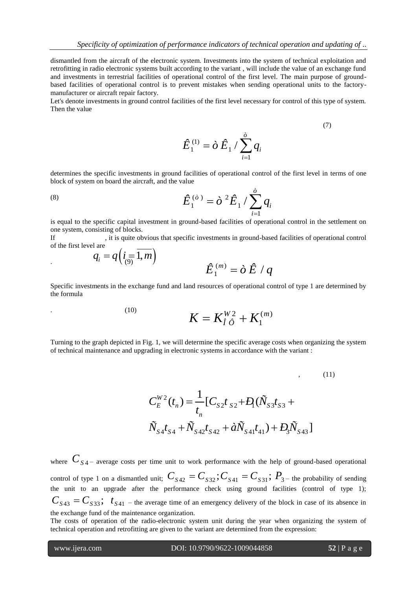dismantled from the aircraft of the electronic system. Investments into the system of technical exploitation and retrofitting in radio electronic systems built according to the variant , will include the value of an exchange fund and investments in terrestrial facilities of operational control of the first level. The main purpose of groundbased facilities of operational control is to prevent mistakes when sending operational units to the factorymanufacturer or aircraft repair factory.

Let's denote investments in ground control facilities of the first level necessary for control of this type of system. Then the value

$$
\hat{E}_1^{(1)} = \partial \hat{E}_1 / \sum_{i=1}^{\partial} q_i
$$

determines the specific investments in ground facilities of operational control of the first level in terms of one block of system on board the aircraft, and the value

(8) 
$$
\hat{E}_1^{(\delta)} = \dot{\delta}^2 \hat{E}_1 / \sum_{i=1}^{\delta} q_i
$$

is equal to the specific capital investment in ground-based facilities of operational control in the settlement on one system, consisting of blocks.

If figure obvious that specific investments in ground-based facilities of operational control of the first level are

$$
q_i = q\left(i_{(9)}\overline{1,m}\right)
$$
  

$$
\hat{E}_1^{(m)} = \partial \hat{E} / q
$$

Specific investments in the exchange fund and land resources of operational control of type 1 are determined by the formula

(10) 
$$
K = K_{\hat{I} \; \hat{O}}^{W2} + K_1^{(m)}
$$

Turning to the graph depicted in Fig. 1, we will determine the specific average costs when organizing the system of technical maintenance and upgrading in electronic systems in accordance with the variant :

$$
C_E^{W2}(t_n) = \frac{1}{t_n} [C_{S2}t_{S2} + D_1(\tilde{N}_{S3}t_{S3} + \tilde{N}_{S4}t_{S4} + \tilde{N}_{S42}t_{S42} + \tilde{a}\tilde{N}_{S41}t_{41}) + D_3\tilde{N}_{S43}]
$$

where  $C_{S4}$  – average costs per time unit to work performance with the help of ground-based operational control of type 1 on a dismantled unit;  $C_{S42} = C_{S32}$ ;  $C_{S41} = C_{S31}$ ;  $P_{3-}$  the probability of sending the unit to an upgrade after the performance check using ground facilities (control of type 1);  $C_{S43} = C_{S33}$ ;  $t_{S41}$  – the average time of an emergency delivery of the block in case of its absence in the exchange fund of the maintenance organization.

The costs of operation of the radio-electronic system unit during the year when organizing the system of technical operation and retrofitting are given to the variant are determined from the expression:

(7)

 $(11)$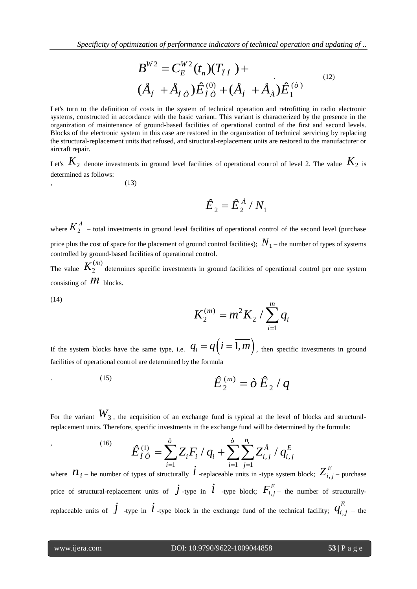*Specificity of optimization of performance indicators of technical operation and updating of ..*

$$
B^{W2} = C_E^{W2}(t_n)(T_{\check{I}\check{I}}) +
$$
  
\n
$$
(\mathring{A}_f + \mathring{A}_{\check{I}\check{O}})\hat{E}_{\check{I}\check{O}}^{(0)} + (\mathring{A}_f + \mathring{A}_{\check{A}})\hat{E}_1^{(\check{O})}
$$
\n<sup>(12)</sup>

Let's turn to the definition of costs in the system of technical operation and retrofitting in radio electronic systems, constructed in accordance with the basic variant. This variant is characterized by the presence in the organization of maintenance of ground-based facilities of operational control of the first and second levels. Blocks of the electronic system in this case are restored in the organization of technical servicing by replacing the structural-replacement units that refused, and structural-replacement units are restored to the manufacturer or aircraft repair.

Let's  $K_2$  denote investments in ground level facilities of operational control of level 2. The value  $K_2$  is determined as follows:

 $(13)$ 

$$
\hat{E}_2 = \hat{E}_2^{\,\hat{A}} / N_1
$$

where  $K_2^A$  – total investments in ground level facilities of operational control of the second level (purchase price plus the cost of space for the placement of ground control facilities);  $N_{\rm 1}$  – the number of types of systems controlled by ground-based facilities of operational control.

The value  $(m)$ 2  $K_2^{(m)}$  determines specific investments in ground facilities of operational control per one system consisting of  $\hat{\mathcal{M}}$  blocks.

(14)

$$
K_2^{(m)} = m^2 K_2 / \sum_{i=1}^m q_i
$$

If the system blocks have the same type, i.e.  $q_i = q(i = 1, m)$ , then specific investments in ground facilities of operational control are determined by the formula

(15) 
$$
\hat{E}_2^{(m)} = \partial \hat{E}_2 / q
$$

For the variant  $W_3$ , the acquisition of an exchange fund is typical at the level of blocks and structural-

replacement units. Therefore, specific investments in the exchange fund will be determined by the formula:  
\n
$$
\hat{E}_{\hat{I}\hat{O}}^{(1)} = \sum_{i=1}^{\hat{O}} Z_i F_i / q_i + \sum_{i=1}^{\hat{O}} \sum_{j=1}^{n_i} Z_{i,j}^{\hat{A}} / q_{i,j}^E
$$

where  $n_{i}$  – he number of types of structurally  $\int_{i}^{i=1}$  -replaceable units in -type system block;  $Z_{i,j}^{E}$  – purchase price of structural-replacement units of  $\vec{J}$  -type in  $\vec{l}$  -type block;  $F_{i,j}^E$  the number of structurallyreplaceable units of  $\dot{J}$  -type in  $\dot{l}$  -type block in the exchange fund of the technical facility;  $q_{i,j}^E$  – the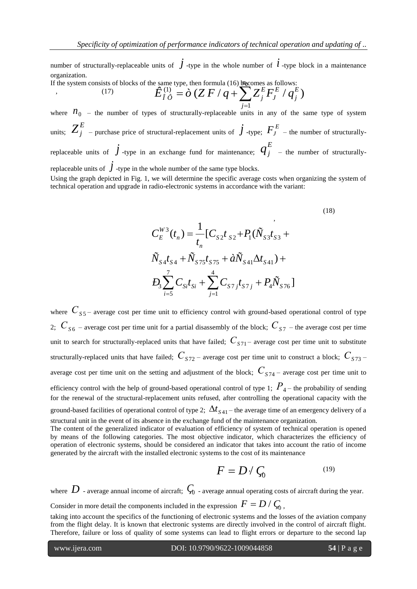number of structurally-replaceable units of  $\vec{J}$  -type in the whole number of  $\vec{l}$  -type block in a maintenance organization.

If the system consists of blocks of the same type, then formula  $(16)$  becomes as follows:  $(17)$ 

of the same type, then formula (16) ~~bb~~comes as follows:  
\n
$$
\hat{E}_{\hat{I}\hat{O}}^{(1)} = \hat{O} (Z F / q + \sum_{j=1}^{bb} Z_j^E F_j^E / q_j^E)
$$

where  $n_0$  – the number of types of structurally-replaceable units in any of the same type of system units;  $Z_j^E$  – purchase price of structural-replacement units of  $\,j$  -type;  $\,F_j^{\,E}\,$  – the number of structurallyreplaceable units of  $\dot{J}$  -type in an exchange fund for maintenance;  $\boldsymbol{q}^E_j$  – the number of structurallyreplaceable units of  $\dot{J}$  -type in the whole number of the same type blocks.

Using the graph depicted in Fig. 1, we will determine the specific average costs when organizing the system of technical operation and upgrade in radio-electronic systems in accordance with the variant:

$$
C_{E}^{W3}(t_{n}) = \frac{1}{t_{n}} [C_{S2}t_{S2} + P_{1}(\tilde{N}_{S3}t_{S3} + \tilde{N}_{S4}t_{S4} + \tilde{N}_{S75}t_{S75} + \tilde{a}\tilde{N}_{S41}\Delta t_{S41}) +
$$
  
\n
$$
D_{3} \sum_{i=5}^{7} C_{Si}t_{Si} + \sum_{j=1}^{4} C_{S7j}t_{S7j} + P_{4}\tilde{N}_{S76}]
$$
  
\n(18)

where  $C_{S5}$  – average cost per time unit to efficiency control with ground-based operational control of type 2;  $C_{S6}$  – average cost per time unit for a partial disassembly of the block;  $C_{S7}$  – the average cost per time unit to search for structurally-replaced units that have failed;  $C_{S71}$  – average cost per time unit to substitute structurally-replaced units that have failed;  $C_{S72}$  – average cost per time unit to construct a block;  $C_{S73}$  – average cost per time unit on the setting and adjustment of the block;  $C_{S74}$  – average cost per time unit to efficiency control with the help of ground-based operational control of type 1;  $P_\mathrm{4^{-}}$  the probability of sending for the renewal of the structural-replacement units refused, after controlling the operational capacity with the ground-based facilities of operational control of type 2;  $\Delta t_{S41}$  – the average time of an emergency delivery of a structural unit in the event of its absence in the exchange fund of the maintenance organization.

The content of the generalized indicator of evaluation of efficiency of system of technical operation is opened by means of the following categories. The most objective indicator, which characterizes the efficiency of operation of electronic systems, should be considered an indicator that takes into account the ratio of income generated by the aircraft with the installed electronic systems to the cost of its maintenance

$$
F = D \, / \, \zeta_0 \tag{19}
$$

where  $D$  - average annual income of aircraft;  $\,\zeta_{\scriptscriptstyle 0}$  - average annual operating costs of aircraft during the year.

Consider in more detail the components included in the expression  $\overline{F} = D / \overline{\zeta_0}$  ,

taking into account the specifics of the functioning of electronic systems and the losses of the aviation company from the flight delay. It is known that electronic systems are directly involved in the control of aircraft flight. Therefore, failure or loss of quality of some systems can lead to flight errors or departure to the second lap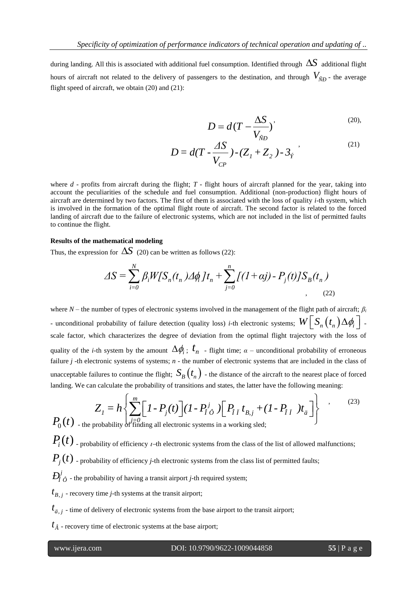during landing. All this is associated with additional fuel consumption. Identified through  $\Delta S$  additional flight hours of aircraft not related to the delivery of passengers to the destination, and through *VÑÐ* - the average flight speed of aircraft, we obtain (20) and (21):

$$
D = d(T - \frac{\Delta S}{V_{\tilde{N}D}})^{\prime}
$$
 (20),

$$
D = d(T - \frac{\Delta S}{V_{CP}}) - (Z_1 + Z_2) - 3_{\dot{Y}} \tag{21}
$$

where  $d$  - profits from aircraft during the flight;  $T$  - flight hours of aircraft planned for the year, taking into account the peculiarities of the schedule and fuel consumption. Additional (non-production) flight hours of aircraft are determined by two factors. The first of them is associated with the loss of quality *i*-th system, which is involved in the formation of the optimal flight route of aircraft. The second factor is related to the forced landing of aircraft due to the failure of electronic systems, which are not included in the list of permitted faults to continue the flight.

#### **Results of the mathematical modeling**

Thus, the expression for  $\Delta S$  (20) can be written as follows (22):

**hematical modeling**  
\n
$$
\text{In for } \Delta S \text{ (20) can be written as follows (22):}
$$
\n
$$
\Delta S = \sum_{i=0}^{N} \beta_i W[S_n(t_n) \Delta \phi_i] t_n + \sum_{j=0}^{n} \left[ (1 + \alpha j) - P_j(t) \right] S_B(t_n)
$$
\n(22)

where *N* – the number of types of electronic systems involved in the management of the flight path of aircraft; *β<sup>i</sup>* - unconditional probability of failure detection (quality loss) *i*-th electronic systems;  $W\Big[\,S_n\big(\,t_n\,\big)\Delta\phi_i\,\Big]$  scale factor, which characterizes the degree of deviation from the optimal flight trajectory with the loss of quality of the *i*-th system by the amount  $\Delta\phi_i$ ;  $t_n$  - flight time;  $\alpha$  – unconditional probability of erroneous failure *j* -th electronic systems of systems; *n* - the number of electronic systems that are included in the class of unacceptable failures to continue the flight;  $S_B(t_n)$  - the distance of the aircraft to the nearest place of forced

unacceptable failures to continue the flight; 
$$
\Delta_B(t_n)
$$
 - the distance of the aircraft to the nearest place of force landing. We can calculate the probability of transitions and states, the latter have the following meaning:\n
$$
Z_1 = h \left\{ \sum_{j=0}^m \left[ 1 - P_j(t) \right] (1 - P_i^j \phi) \left[ P_{\hat{I} \hat{I}} t_{B,j} + (1 - P_{\hat{I} \hat{I}}) t_{\hat{a}} \right] \right\},
$$
\n(23)\n
$$
P_0(t)
$$
 - the probability of finding all electronic systems in a working sled;

 $P_i(t)$  - probability of efficiency *t*-th electronic systems from the class of the list of allowed malfunctions;

 $P_i(t)$  - probability of efficiency *j*-th electronic systems from the class list of permitted faults;

 $D^{j}_{\hat{l}}$   $_{\hat{O}}$  - the probability of having a transit airport *j*-th required system;

 $t_{B,j}$  - recovery time *j*-th systems at the transit airport;

 $t_{\ddot{a},j}$  - time of delivery of electronic systems from the base airport to the transit airport;

 $t_{\hat{A}}$  - recovery time of electronic systems at the base airport;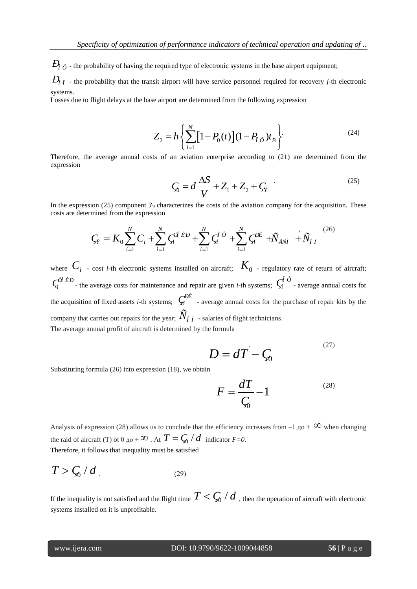$D_{\hat{i}|\hat{I}}$  - the probability that the transit airport will have service personnel required for recovery *j*-th electronic systems.

Losses due to flight delays at the base airport are determined from the following expression

$$
Z_2 = h \left\{ \sum_{i=1}^N \left[ 1 - P_0(t) \right] (1 - P_{f\hat{o}}) t_B \right\}.
$$
 (24)

Therefore, the average annual costs of an aviation enterprise according to (21) are determined from the expression

$$
\zeta_0 = d \frac{\Delta S}{V} + Z_1 + Z_2 + \zeta_{\hat{Y}} \tag{25}
$$

In the expression (25) component *З<sup>Э</sup>* characterizes the costs of the aviation company for the acquisition. These costs are determined from the expression

From (25) component 
$$
3_3
$$
 characterizes the costs of the aviation company for the acquisition timed from the expression

\n
$$
C_{\hat{Y}} = K_0 \sum_{i=1}^{N} C_i + \sum_{i=1}^{N} \zeta_i^{\hat{U} \hat{E}D} + \sum_{i=1}^{N} \zeta_i^{\hat{U} \hat{D}} + \sum_{i=1}^{N} \zeta_i^{\hat{D} \hat{E}} + \tilde{N}_{\tilde{A} \tilde{N} \hat{I}} + \tilde{N}_{\hat{I} \tilde{I}} \tag{26}
$$

*<i>Ð*<sub>*Î*</sub> - the probability of having the required type of electronic systems in the base airport equipment;<br> *D*<sub>*I*</sub> - the probability that the transit airport are determined from the following expression<br> *Z*<sub>I</sub> = *H* where  $C_i$  - cost *i*-th electronic systems installed on aircraft;  $K_0$  - regulatory rate of return of aircraft;  $\zeta_i^{\hat{\theta}}$  *È Ð* - the average costs for maintenance and repair are given *i*-th systems;  $\zeta_i^{\hat{\theta}}$  - average annual costs for the acquisition of fixed assets *i*-th systems;  $\zeta_i^{DE}$  - average annual costs for the purchase of repair kits by the company that carries out repairs for the year;  $\tilde{N}_{\tilde{I} \tilde{I}}$  - salaries of flight technicians. The average annual profit of aircraft is determined by the formula

$$
D = dT - \zeta_0
$$

Substituting formula (26) into expression (18), we obtain

$$
F = \frac{dT}{\zeta_0} - 1\tag{28}
$$

Analysis of expression (28) allows us to conclude that the efficiency increases from  $-1$   $\mu$ o +  $\infty$  when changing the raid of aircraft (T) ot  $0 \text{ to } 0 \to \infty$ . At  $T = \frac{C_0}{d}$  indicator  $F=0$ . Therefore, it follows that inequality must be satisfied

 $T > \frac{C_0}{d}$  / d (29)

If the inequality is not satisfied and the flight time  $T < \zeta_0 / d$  , then the operation of aircraft with electronic systems installed on it is unprofitable.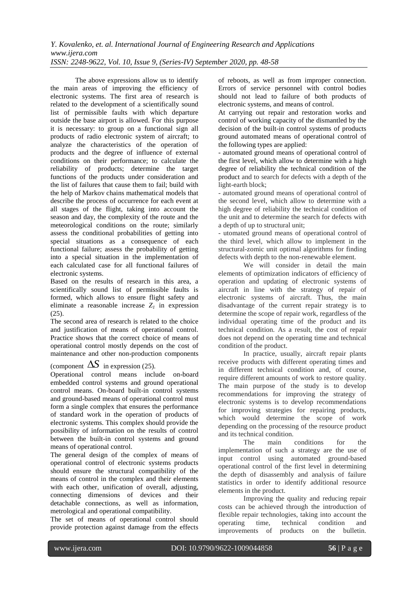The above expressions allow us to identify the main areas of improving the efficiency of electronic systems. The first area of research is related to the development of a scientifically sound list of permissible faults with which departure outside the base airport is allowed. For this purpose it is necessary: to group on a functional sign all products of radio electronic system of aircraft; to analyze the characteristics of the operation of products and the degree of influence of external conditions on their performance; to calculate the reliability of products; determine the target functions of the products under consideration and the list of failures that cause them to fail; build with the help of Markov chains mathematical models that describe the process of occurrence for each event at all stages of the flight, taking into account the season and day, the complexity of the route and the meteorological conditions on the route; similarly assess the conditional probabilities of getting into special situations as a consequence of each functional failure; assess the probability of getting into a special situation in the implementation of each calculated case for all functional failures of electronic systems.

Based on the results of research in this area, a scientifically sound list of permissible faults is formed, which allows to ensure flight safety and eliminate a reasonable increase  $Z_I$  in expression (25).

The second area of research is related to the choice and justification of means of operational control. Practice shows that the correct choice of means of operational control mostly depends on the cost of maintenance and other non-production components

## (component  $\Delta S$  in expression (25).

Operational control means include on-board embedded control systems and ground operational control means. On-board built-in control systems and ground-based means of operational control must form a single complex that ensures the performance of standard work in the operation of products of electronic systems. This complex should provide the possibility of information on the results of control between the built-in control systems and ground means of operational control.

The general design of the complex of means of operational control of electronic systems products should ensure the structural compatibility of the means of control in the complex and their elements with each other, unification of overall, adjusting, connecting dimensions of devices and their detachable connections, as well as information, metrological and operational compatibility.

The set of means of operational control should provide protection against damage from the effects of reboots, as well as from improper connection. Errors of service personnel with control bodies should not lead to failure of both products of electronic systems, and means of control.

At carrying out repair and restoration works and control of working capacity of the dismantled by the decision of the built-in control systems of products ground automated means of operational control of the following types are applied:

- automated ground means of operational control of the first level, which allow to determine with a high degree of reliability the technical condition of the product and to search for defects with a depth of the light-earth block;

- automated ground means of operational control of the second level, which allow to determine with a high degree of reliability the technical condition of the unit and to determine the search for defects with a depth of up to structural unit;

- utomated ground means of operational control of the third level, which allow to implement in the structural-zomic unit optimal algorithms for finding defects with depth to the non-renewable element.

We will consider in detail the main elements of optimization indicators of efficiency of operation and updating of electronic systems of aircraft in line with the strategy of repair of electronic systems of aircraft. Thus, the main disadvantage of the current repair strategy is to determine the scope of repair work, regardless of the individual operating time of the product and its technical condition. As a result, the cost of repair does not depend on the operating time and technical condition of the product.

In practice, usually, aircraft repair plants receive products with different operating times and in different technical condition and, of course, require different amounts of work to restore quality. The main purpose of the study is to develop recommendations for improving the strategy of electronic systems is to develop recommendations for improving strategies for repairing products, which would determine the scope of work depending on the processing of the resource product and its technical condition.

The main conditions for the implementation of such a strategy are the use of input control using automated ground-based operational control of the first level in determining the depth of disassembly and analysis of failure statistics in order to identify additional resource elements in the product.

Improving the quality and reducing repair costs can be achieved through the introduction of flexible repair technologies, taking into account the operating time, technical condition and improvements of products on the bulletin.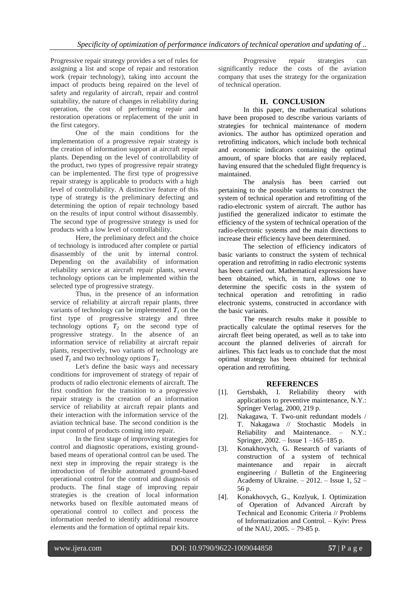Progressive repair strategy provides a set of rules for assigning a list and scope of repair and restoration work (repair technology), taking into account the impact of products being repaired on the level of safety and regularity of aircraft, repair and control suitability, the nature of changes in reliability during operation, the cost of performing repair and restoration operations or replacement of the unit in the first category.

One of the main conditions for the implementation of a progressive repair strategy is the creation of information support at aircraft repair plants. Depending on the level of controllability of the product, two types of progressive repair strategy can be implemented. The first type of progressive repair strategy is applicable to products with a high level of controllability. A distinctive feature of this type of strategy is the preliminary defecting and determining the option of repair technology based on the results of input control without disassembly. The second type of progressive strategy is used for products with a low level of controllability.

Here, the preliminary defect and the choice of technology is introduced after complete or partial disassembly of the unit by internal control. Depending on the availability of information reliability service at aircraft repair plants, several technology options can be implemented within the selected type of progressive strategy.

Thus, in the presence of an information service of reliability at aircraft repair plants, three variants of technology can be implemented  $T_I$  on the first type of progressive strategy and three technology options  $T_2$  on the second type of progressive strategy. In the absence of an information service of reliability at aircraft repair plants, respectively, two variants of technology are used  $T_I$  and two technology options  $T_I$ .

Let's define the basic ways and necessary conditions for improvement of strategy of repair of products of radio electronic elements of aircraft. The first condition for the transition to a progressive repair strategy is the creation of an information service of reliability at aircraft repair plants and their interaction with the information service of the aviation technical base. The second condition is the input control of products coming into repair.

In the first stage of improving strategies for control and diagnostic operations, existing groundbased means of operational control can be used. The next step in improving the repair strategy is the introduction of flexible automated ground-based operational control for the control and diagnosis of products. The final stage of improving repair strategies is the creation of local information networks based on flexible automated means of operational control to collect and process the information needed to identify additional resource elements and the formation of optimal repair kits.

Progressive repair strategies can significantly reduce the costs of the aviation company that uses the strategy for the organization of technical operation.

## **II. CONCLUSION**

In this paper, the mathematical solutions have been proposed to describe various variants of strategies for technical maintenance of modern avionics. The author has optimized operation and retrofitting indicators, which include both technical and economic indicators containing the optimal amount, of spare blocks that are easily replaced, having ensured that the scheduled flight frequency is maintained.

The analysis has been carried out pertaining to the possible variants to construct the system of technical operation and retrofitting of the radio-electronic system of aircraft. The author has justified the generalized indicator to estimate the efficiency of the system of technical operation of the radio-electronic systems and the main directions to increase their efficiency have been determined.

The selection of efficiency indicators of basic variants to construct the system of technical operation and retrofitting in radio electronic systems has been carried out. Mathematical expressions have been obtained, which, in turn, allows one to determine the specific costs in the system of technical operation and retrofitting in radio electronic systems, constructed in accordance with the basic variants.

The research results make it possible to practically calculate the optimal reserves for the aircraft fleet being operated, as well as to take into account the planned deliveries of aircraft for airlines. This fact leads us to conclude that the most optimal strategy has been obtained for technical operation and retrofitting.

## **REFERENCES**

- [1]. Gertsbakh, I. Reliability theory with applications to preventive maintenance, N.Y.: Springer Verlag, 2000, 219 p.
- [2]. Nakagawa, T. Two-unit redundant models / T. Nakagawa // Stochastic Models in Reliability and Maintenance. – N.Y.: Springer, 2002. – Issue 1 –165–185 p.
- [3]. Konakhovych, G. Research of variants of construction of a system of technical maintenance and repair in aircraft engineering / Bulletin of the Engineering Academy of Ukraine. – 2012. – Issue 1, 52 – 56 p.
- [4]. Konakhovych, G., Kozlyuk, I. Optimization of Operation of Advanced Aircraft by Technical and Economic Criteria // Problems of Informatization and Control. – Kyiv: Press of the NAU, 2005. – 79-85 p.